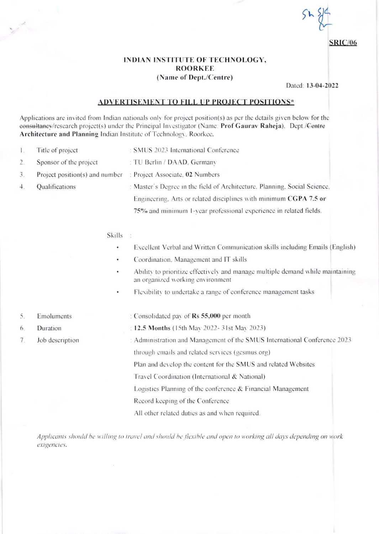**SRIC/06** 

## INDIAN INSTITUTE OF TECHNOLOGY, **ROORKEE** (Name of Dept./Centre)

Dated: 13-04-2022

## **ADVERTISEMENT TO FILL UP PROJECT POSITIONS\***

Applications are invited from Indian nationals only for project position(s) as per the details given below for the eonsultaney/research project(s) under the Principal Investigator (Name: Prof Gauray Raheja). Dept./Centre Architecture and Planning Indian Institute of Technology, Roorkee.

- $\mathbf{I}$ . Title of project : SMUS 2023 International Conference
- $\overline{2}$ . Sponsor of the project : TU Berlin / DAAD, Germany
- $3.$ Project position(s) and number : Project Associate, 02 Numbers
- $4.$ Qualifications
- : Master's Degree in the field of Architecture, Planning, Social Science, Engineering. Arts or related disciplines with minimum CGPA 7.5 or 75% and minimum 1-vear professional experience in related fields.

## Skills :

- $\bullet$ Excellent Verbal and Written Communication skills including Emails (English)
- Coordination. Management and IT skills
- Ability to prioritize effectively and manage multiple demand while maintaining an organized working environment
- Flexibility to undertake a range of conference management tasks
- 5. Emoluments
- 6. Duration
- 7. Job description
- : Consolidated pay of Rs 55,000 per month : 12.5 Months (15th May 2022-31st May 2023) : Administration and Management of the SMUS International Conference 2023 through emails and related services (gesmus.org) Plan and develop the content for the SMUS and related Websites Travel Coordination (International & National) Logistics Planning of the conference & Financial Management Record keeping of the Conference All other related duties as and when required.

Applicants should be willing to travel and should be flexible and open to working all days depending on work exigencies.